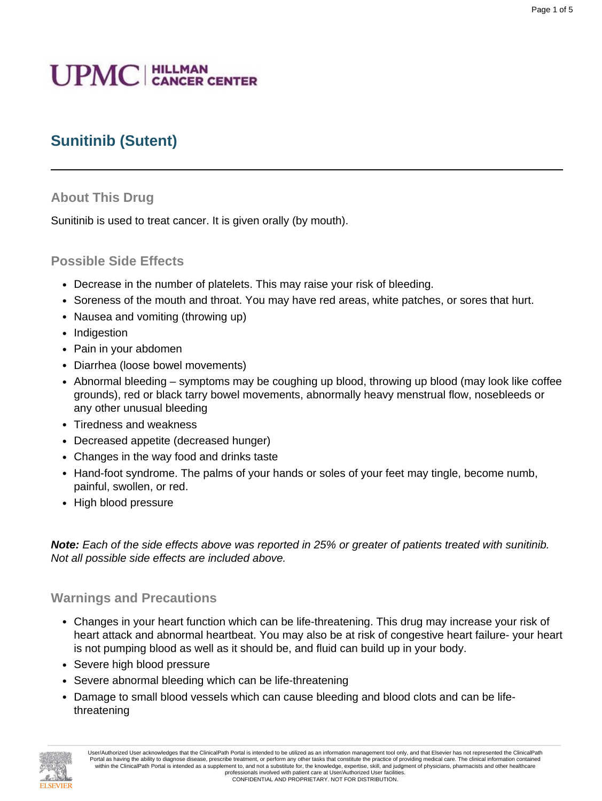# **UPMC** | HILLMAN

## **Sunitinib (Sutent)**

#### **About This Drug**

Sunitinib is used to treat cancer. It is given orally (by mouth).

#### **Possible Side Effects**

- Decrease in the number of platelets. This may raise your risk of bleeding.
- Soreness of the mouth and throat. You may have red areas, white patches, or sores that hurt.
- Nausea and vomiting (throwing up)
- Indigestion
- Pain in your abdomen
- Diarrhea (loose bowel movements)
- Abnormal bleeding symptoms may be coughing up blood, throwing up blood (may look like coffee grounds), red or black tarry bowel movements, abnormally heavy menstrual flow, nosebleeds or any other unusual bleeding
- Tiredness and weakness
- Decreased appetite (decreased hunger)
- Changes in the way food and drinks taste
- Hand-foot syndrome. The palms of your hands or soles of your feet may tingle, become numb, painful, swollen, or red.
- High blood pressure

**Note:** Each of the side effects above was reported in 25% or greater of patients treated with sunitinib. Not all possible side effects are included above.

#### **Warnings and Precautions**

- Changes in your heart function which can be life-threatening. This drug may increase your risk of heart attack and abnormal heartbeat. You may also be at risk of congestive heart failure- your heart is not pumping blood as well as it should be, and fluid can build up in your body.
- Severe high blood pressure
- Severe abnormal bleeding which can be life-threatening
- Damage to small blood vessels which can cause bleeding and blood clots and can be lifethreatening

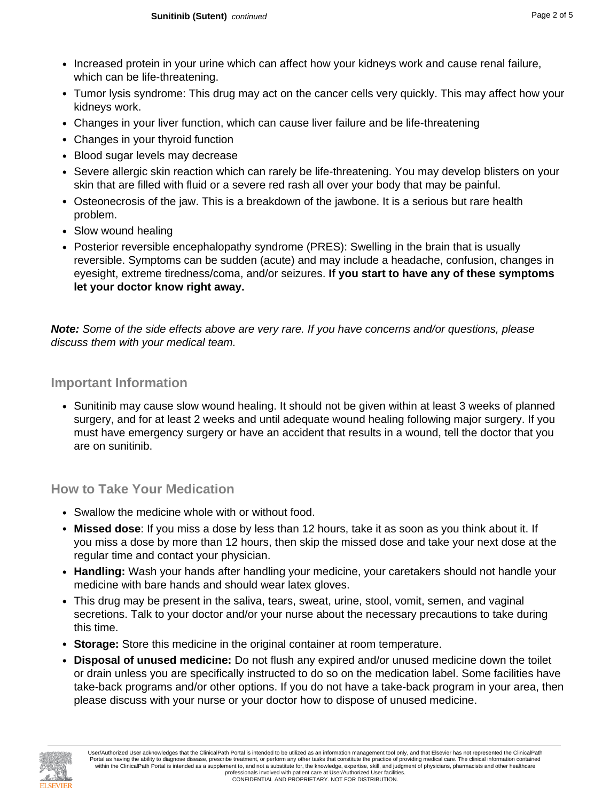- Increased protein in your urine which can affect how your kidneys work and cause renal failure, which can be life-threatening.
- Tumor lysis syndrome: This drug may act on the cancer cells very quickly. This may affect how your kidneys work.
- Changes in your liver function, which can cause liver failure and be life-threatening
- Changes in your thyroid function
- Blood sugar levels may decrease
- Severe allergic skin reaction which can rarely be life-threatening. You may develop blisters on your skin that are filled with fluid or a severe red rash all over your body that may be painful.
- Osteonecrosis of the jaw. This is a breakdown of the jawbone. It is a serious but rare health problem.
- Slow wound healing
- Posterior reversible encephalopathy syndrome (PRES): Swelling in the brain that is usually reversible. Symptoms can be sudden (acute) and may include a headache, confusion, changes in eyesight, extreme tiredness/coma, and/or seizures. **If you start to have any of these symptoms let your doctor know right away.**

**Note:** Some of the side effects above are very rare. If you have concerns and/or questions, please discuss them with your medical team.

#### **Important Information**

• Sunitinib may cause slow wound healing. It should not be given within at least 3 weeks of planned surgery, and for at least 2 weeks and until adequate wound healing following major surgery. If you must have emergency surgery or have an accident that results in a wound, tell the doctor that you are on sunitinib.

#### **How to Take Your Medication**

- Swallow the medicine whole with or without food.
- **Missed dose**: If you miss a dose by less than 12 hours, take it as soon as you think about it. If you miss a dose by more than 12 hours, then skip the missed dose and take your next dose at the regular time and contact your physician.
- **Handling:** Wash your hands after handling your medicine, your caretakers should not handle your medicine with bare hands and should wear latex gloves.
- This drug may be present in the saliva, tears, sweat, urine, stool, vomit, semen, and vaginal secretions. Talk to your doctor and/or your nurse about the necessary precautions to take during this time.
- **Storage:** Store this medicine in the original container at room temperature.
- **Disposal of unused medicine:** Do not flush any expired and/or unused medicine down the toilet or drain unless you are specifically instructed to do so on the medication label. Some facilities have take-back programs and/or other options. If you do not have a take-back program in your area, then please discuss with your nurse or your doctor how to dispose of unused medicine.

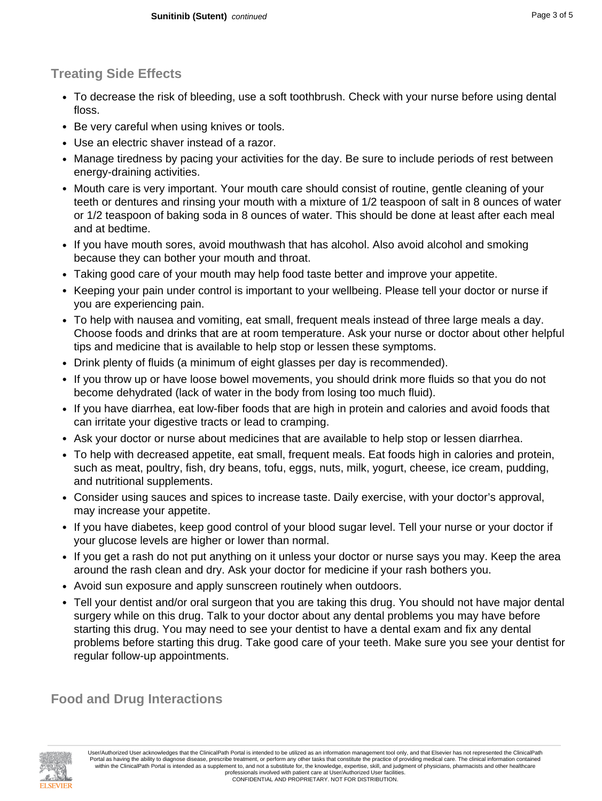### **Treating Side Effects**

- To decrease the risk of bleeding, use a soft toothbrush. Check with your nurse before using dental floss.
- Be very careful when using knives or tools.
- Use an electric shaver instead of a razor.
- Manage tiredness by pacing your activities for the day. Be sure to include periods of rest between energy-draining activities.
- Mouth care is very important. Your mouth care should consist of routine, gentle cleaning of your teeth or dentures and rinsing your mouth with a mixture of 1/2 teaspoon of salt in 8 ounces of water or 1/2 teaspoon of baking soda in 8 ounces of water. This should be done at least after each meal and at bedtime.
- If you have mouth sores, avoid mouthwash that has alcohol. Also avoid alcohol and smoking because they can bother your mouth and throat.
- Taking good care of your mouth may help food taste better and improve your appetite.
- Keeping your pain under control is important to your wellbeing. Please tell your doctor or nurse if you are experiencing pain.
- To help with nausea and vomiting, eat small, frequent meals instead of three large meals a day. Choose foods and drinks that are at room temperature. Ask your nurse or doctor about other helpful tips and medicine that is available to help stop or lessen these symptoms.
- Drink plenty of fluids (a minimum of eight glasses per day is recommended).
- If you throw up or have loose bowel movements, you should drink more fluids so that you do not become dehydrated (lack of water in the body from losing too much fluid).
- If you have diarrhea, eat low-fiber foods that are high in protein and calories and avoid foods that can irritate your digestive tracts or lead to cramping.
- Ask your doctor or nurse about medicines that are available to help stop or lessen diarrhea.
- To help with decreased appetite, eat small, frequent meals. Eat foods high in calories and protein, such as meat, poultry, fish, dry beans, tofu, eggs, nuts, milk, yogurt, cheese, ice cream, pudding, and nutritional supplements.
- Consider using sauces and spices to increase taste. Daily exercise, with your doctor's approval, may increase your appetite.
- If you have diabetes, keep good control of your blood sugar level. Tell your nurse or your doctor if your glucose levels are higher or lower than normal.
- If you get a rash do not put anything on it unless your doctor or nurse says you may. Keep the area around the rash clean and dry. Ask your doctor for medicine if your rash bothers you.
- Avoid sun exposure and apply sunscreen routinely when outdoors.
- Tell your dentist and/or oral surgeon that you are taking this drug. You should not have major dental surgery while on this drug. Talk to your doctor about any dental problems you may have before starting this drug. You may need to see your dentist to have a dental exam and fix any dental problems before starting this drug. Take good care of your teeth. Make sure you see your dentist for regular follow-up appointments.

**Food and Drug Interactions**

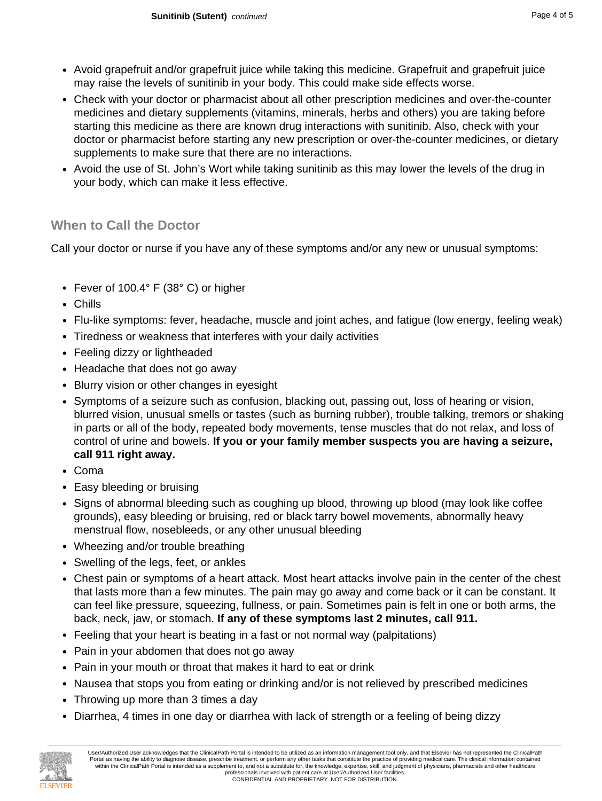- Avoid grapefruit and/or grapefruit juice while taking this medicine. Grapefruit and grapefruit juice may raise the levels of sunitinib in your body. This could make side effects worse.
- Check with your doctor or pharmacist about all other prescription medicines and over-the-counter medicines and dietary supplements (vitamins, minerals, herbs and others) you are taking before starting this medicine as there are known drug interactions with sunitinib. Also, check with your doctor or pharmacist before starting any new prescription or over-the-counter medicines, or dietary supplements to make sure that there are no interactions.
- Avoid the use of St. John's Wort while taking sunitinib as this may lower the levels of the drug in your body, which can make it less effective.

#### **When to Call the Doctor**

Call your doctor or nurse if you have any of these symptoms and/or any new or unusual symptoms:

- Fever of 100.4° F (38° C) or higher
- Chills
- Flu-like symptoms: fever, headache, muscle and joint aches, and fatigue (low energy, feeling weak)
- Tiredness or weakness that interferes with your daily activities
- Feeling dizzy or lightheaded
- Headache that does not go away
- Blurry vision or other changes in eyesight
- Symptoms of a seizure such as confusion, blacking out, passing out, loss of hearing or vision, blurred vision, unusual smells or tastes (such as burning rubber), trouble talking, tremors or shaking in parts or all of the body, repeated body movements, tense muscles that do not relax, and loss of control of urine and bowels. **If you or your family member suspects you are having a seizure, call 911 right away.**
- Coma
- Easy bleeding or bruising
- Signs of abnormal bleeding such as coughing up blood, throwing up blood (may look like coffee grounds), easy bleeding or bruising, red or black tarry bowel movements, abnormally heavy menstrual flow, nosebleeds, or any other unusual bleeding
- Wheezing and/or trouble breathing
- Swelling of the legs, feet, or ankles
- Chest pain or symptoms of a heart attack. Most heart attacks involve pain in the center of the chest that lasts more than a few minutes. The pain may go away and come back or it can be constant. It can feel like pressure, squeezing, fullness, or pain. Sometimes pain is felt in one or both arms, the back, neck, jaw, or stomach. **If any of these symptoms last 2 minutes, call 911.**
- Feeling that your heart is beating in a fast or not normal way (palpitations)
- Pain in your abdomen that does not go away
- Pain in your mouth or throat that makes it hard to eat or drink
- Nausea that stops you from eating or drinking and/or is not relieved by prescribed medicines
- Throwing up more than 3 times a day
- Diarrhea, 4 times in one day or diarrhea with lack of strength or a feeling of being dizzy



User/Authorized User acknowledges that the ClinicalPath Portal is intended to be utilized as an information management tool only, and that Elsevier has not represented the ClinicalPath Portal as having the ability to diagnose disease, prescribe treatment, or perform any other tasks that constitute the practice of providing medical care. The clinical information contained within the ClinicalPath Portal is intended as a supplement to, and not a substitute for, the knowledge, expertise, skill, and judgment of physicians, pharmacists and other healthcare professionals involved with patient care at User/Authorized User facilities. CONFIDENTIAL AND PROPRIETARY. NOT FOR DISTRIBUTION.